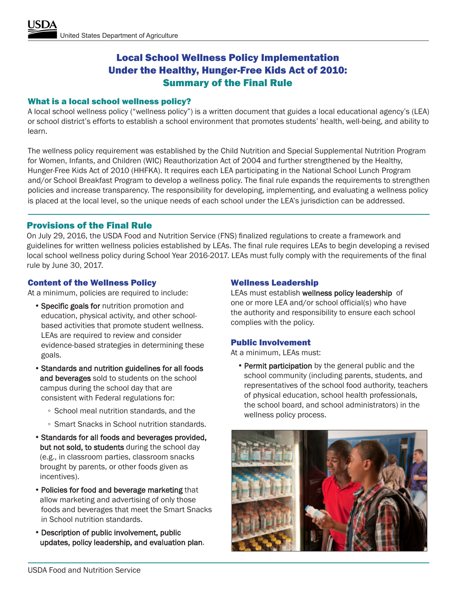# Local School Wellness Policy Implementation Under the Healthy, Hunger-Free Kids Act of 2010: Summary of the Final Rule

## What is a local school wellness policy?

A local school wellness policy ("wellness policy") is a written document that guides a local educational agency's (LEA) or school district's efforts to establish a school environment that promotes students' health, well-being, and ability to learn.

The wellness policy requirement was established by the Child Nutrition and Special Supplemental Nutrition Program for Women, Infants, and Children (WIC) Reauthorization Act of 2004 and further strengthened by the Healthy, Hunger-Free Kids Act of 2010 (HHFKA). It requires each LEA participating in the National School Lunch Program and/or School Breakfast Program to develop a wellness policy. The final rule expands the requirements to strengthen policies and increase transparency. The responsibility for developing, implementing, and evaluating a wellness policy is placed at the local level, so the unique needs of each school under the LEA's jurisdiction can be addressed.

# Provisions of the Final Rule

On July 29, 2016, the USDA Food and Nutrition Service (FNS) finalized regulations to create a framework and guidelines for written wellness policies established by LEAs. The final rule requires LEAs to begin developing a revised local school wellness policy during School Year 2016-2017. LEAs must fully comply with the requirements of the final rule by June 30, 2017.

## Content of the Wellness Policy

At a minimum, policies are required to include:

- Specific goals for nutrition promotion and education, physical activity, and other schoolbased activities that promote student wellness. LEAs are required to review and consider evidence-based strategies in determining these goals.
- •Standards and nutrition guidelines for all foods and beverages sold to students on the school campus during the school day that are consistent with Federal regulations for:
	- School meal nutrition standards, and the
	- Smart Snacks in School nutrition standards.
- •Standards for all foods and beverages provided, but not sold, to students during the school day (e.g., in classroom parties, classroom snacks brought by parents, or other foods given as incentives).
- •Policies for food and beverage marketing that allow marketing and advertising of only those foods and beverages that meet the Smart Snacks in School nutrition standards.
- •Description of public involvement, public updates, policy leadership, and evaluation plan.

## Wellness Leadership

LEAs must establish wellness policy leadership of one or more LEA and/or school official(s) who have the authority and responsibility to ensure each school complies with the policy.

#### Public Involvement

At a minimum, LEAs must:

• Permit participation by the general public and the school community (including parents, students, and representatives of the school food authority, teachers of physical education, school health professionals, the school board, and school administrators) in the wellness policy process.